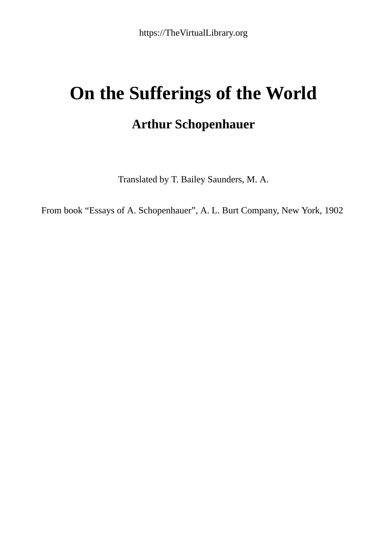# **On the Sufferings of the World**

## **Arthur Schopenhauer**

Translated by T. Bailey Saunders, M. A.

From book "Essays of A. Schopenhauer", A. L. Burt Company, New York, 1902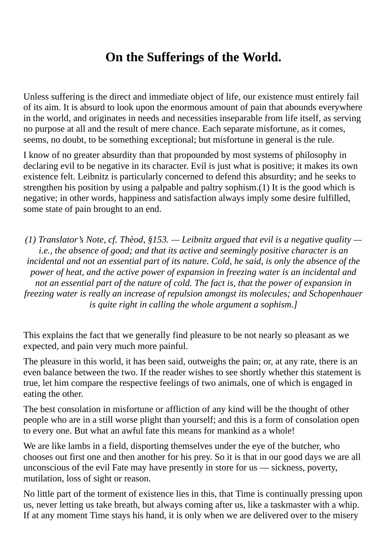## **On the Sufferings of the World.**

Unless suffering is the direct and immediate object of life, our existence must entirely fail of its aim. It is absurd to look upon the enormous amount of pain that abounds everywhere in the world, and originates in needs and necessities inseparable from life itself, as serving no purpose at all and the result of mere chance. Each separate misfortune, as it comes, seems, no doubt, to be something exceptional; but misfortune in general is the rule.

I know of no greater absurdity than that propounded by most systems of philosophy in declaring evil to be negative in its character. Evil is just what is positive; it makes its own existence felt. Leibnitz is particularly concerned to defend this absurdity; and he seeks to strengthen his position by using a palpable and paltry sophism.(1) It is the good which is negative; in other words, happiness and satisfaction always imply some desire fulfilled, some state of pain brought to an end.

*(1) Translator's Note, cf. Thèod, §153. — Leibnitz argued that evil is a negative quality i.e., the absence of good; and that its active and seemingly positive character is an incidental and not an essential part of its nature. Cold, he said, is only the absence of the power of heat, and the active power of expansion in freezing water is an incidental and not an essential part of the nature of cold. The fact is, that the power of expansion in freezing water is really an increase of repulsion amongst its molecules; and Schopenhauer is quite right in calling the whole argument a sophism.]*

This explains the fact that we generally find pleasure to be not nearly so pleasant as we expected, and pain very much more painful.

The pleasure in this world, it has been said, outweighs the pain; or, at any rate, there is an even balance between the two. If the reader wishes to see shortly whether this statement is true, let him compare the respective feelings of two animals, one of which is engaged in eating the other.

The best consolation in misfortune or affliction of any kind will be the thought of other people who are in a still worse plight than yourself; and this is a form of consolation open to every one. But what an awful fate this means for mankind as a whole!

We are like lambs in a field, disporting themselves under the eye of the butcher, who chooses out first one and then another for his prey. So it is that in our good days we are all unconscious of the evil Fate may have presently in store for us — sickness, poverty, mutilation, loss of sight or reason.

No little part of the torment of existence lies in this, that Time is continually pressing upon us, never letting us take breath, but always coming after us, like a taskmaster with a whip. If at any moment Time stays his hand, it is only when we are delivered over to the misery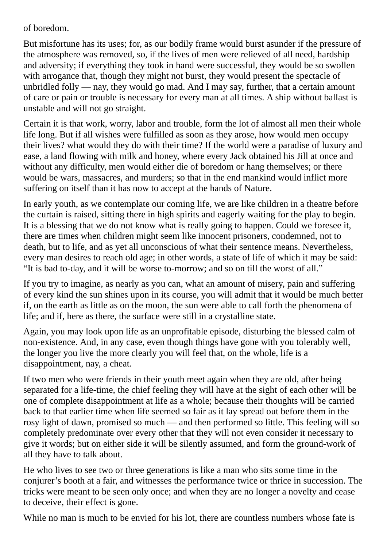of boredom.

But misfortune has its uses; for, as our bodily frame would burst asunder if the pressure of the atmosphere was removed, so, if the lives of men were relieved of all need, hardship and adversity; if everything they took in hand were successful, they would be so swollen with arrogance that, though they might not burst, they would present the spectacle of unbridled folly — nay, they would go mad. And I may say, further, that a certain amount of care or pain or trouble is necessary for every man at all times. A ship without ballast is unstable and will not go straight.

Certain it is that work, worry, labor and trouble, form the lot of almost all men their whole life long. But if all wishes were fulfilled as soon as they arose, how would men occupy their lives? what would they do with their time? If the world were a paradise of luxury and ease, a land flowing with milk and honey, where every Jack obtained his Jill at once and without any difficulty, men would either die of boredom or hang themselves; or there would be wars, massacres, and murders; so that in the end mankind would inflict more suffering on itself than it has now to accept at the hands of Nature.

In early youth, as we contemplate our coming life, we are like children in a theatre before the curtain is raised, sitting there in high spirits and eagerly waiting for the play to begin. It is a blessing that we do not know what is really going to happen. Could we foresee it, there are times when children might seem like innocent prisoners, condemned, not to death, but to life, and as yet all unconscious of what their sentence means. Nevertheless, every man desires to reach old age; in other words, a state of life of which it may be said: "It is bad to-day, and it will be worse to-morrow; and so on till the worst of all."

If you try to imagine, as nearly as you can, what an amount of misery, pain and suffering of every kind the sun shines upon in its course, you will admit that it would be much better if, on the earth as little as on the moon, the sun were able to call forth the phenomena of life; and if, here as there, the surface were still in a crystalline state.

Again, you may look upon life as an unprofitable episode, disturbing the blessed calm of non-existence. And, in any case, even though things have gone with you tolerably well, the longer you live the more clearly you will feel that, on the whole, life is a disappointment, nay, a cheat.

If two men who were friends in their youth meet again when they are old, after being separated for a life-time, the chief feeling they will have at the sight of each other will be one of complete disappointment at life as a whole; because their thoughts will be carried back to that earlier time when life seemed so fair as it lay spread out before them in the rosy light of dawn, promised so much — and then performed so little. This feeling will so completely predominate over every other that they will not even consider it necessary to give it words; but on either side it will be silently assumed, and form the ground-work of all they have to talk about.

He who lives to see two or three generations is like a man who sits some time in the conjurer's booth at a fair, and witnesses the performance twice or thrice in succession. The tricks were meant to be seen only once; and when they are no longer a novelty and cease to deceive, their effect is gone.

While no man is much to be envied for his lot, there are countless numbers whose fate is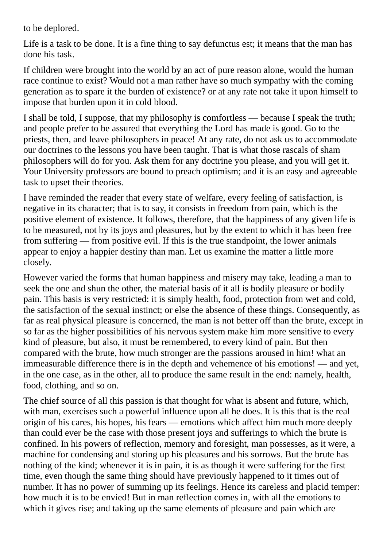to be deplored.

Life is a task to be done. It is a fine thing to say defunctus est; it means that the man has done his task.

If children were brought into the world by an act of pure reason alone, would the human race continue to exist? Would not a man rather have so much sympathy with the coming generation as to spare it the burden of existence? or at any rate not take it upon himself to impose that burden upon it in cold blood.

I shall be told, I suppose, that my philosophy is comfortless — because I speak the truth; and people prefer to be assured that everything the Lord has made is good. Go to the priests, then, and leave philosophers in peace! At any rate, do not ask us to accommodate our doctrines to the lessons you have been taught. That is what those rascals of sham philosophers will do for you. Ask them for any doctrine you please, and you will get it. Your University professors are bound to preach optimism; and it is an easy and agreeable task to upset their theories.

I have reminded the reader that every state of welfare, every feeling of satisfaction, is negative in its character; that is to say, it consists in freedom from pain, which is the positive element of existence. It follows, therefore, that the happiness of any given life is to be measured, not by its joys and pleasures, but by the extent to which it has been free from suffering — from positive evil. If this is the true standpoint, the lower animals appear to enjoy a happier destiny than man. Let us examine the matter a little more closely.

However varied the forms that human happiness and misery may take, leading a man to seek the one and shun the other, the material basis of it all is bodily pleasure or bodily pain. This basis is very restricted: it is simply health, food, protection from wet and cold, the satisfaction of the sexual instinct; or else the absence of these things. Consequently, as far as real physical pleasure is concerned, the man is not better off than the brute, except in so far as the higher possibilities of his nervous system make him more sensitive to every kind of pleasure, but also, it must be remembered, to every kind of pain. But then compared with the brute, how much stronger are the passions aroused in him! what an immeasurable difference there is in the depth and vehemence of his emotions! — and yet, in the one case, as in the other, all to produce the same result in the end: namely, health, food, clothing, and so on.

The chief source of all this passion is that thought for what is absent and future, which, with man, exercises such a powerful influence upon all he does. It is this that is the real origin of his cares, his hopes, his fears — emotions which affect him much more deeply than could ever be the case with those present joys and sufferings to which the brute is confined. In his powers of reflection, memory and foresight, man possesses, as it were, a machine for condensing and storing up his pleasures and his sorrows. But the brute has nothing of the kind; whenever it is in pain, it is as though it were suffering for the first time, even though the same thing should have previously happened to it times out of number. It has no power of summing up its feelings. Hence its careless and placid temper: how much it is to be envied! But in man reflection comes in, with all the emotions to which it gives rise; and taking up the same elements of pleasure and pain which are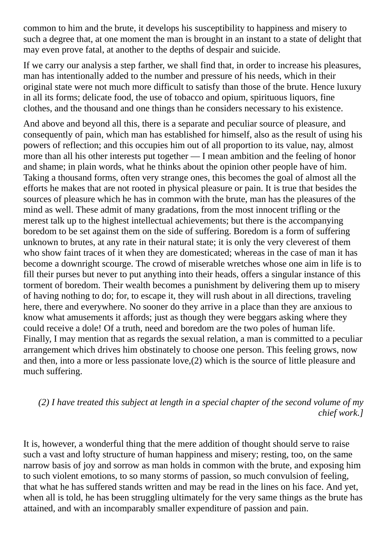common to him and the brute, it develops his susceptibility to happiness and misery to such a degree that, at one moment the man is brought in an instant to a state of delight that may even prove fatal, at another to the depths of despair and suicide.

If we carry our analysis a step farther, we shall find that, in order to increase his pleasures, man has intentionally added to the number and pressure of his needs, which in their original state were not much more difficult to satisfy than those of the brute. Hence luxury in all its forms; delicate food, the use of tobacco and opium, spirituous liquors, fine clothes, and the thousand and one things than he considers necessary to his existence.

And above and beyond all this, there is a separate and peculiar source of pleasure, and consequently of pain, which man has established for himself, also as the result of using his powers of reflection; and this occupies him out of all proportion to its value, nay, almost more than all his other interests put together — I mean ambition and the feeling of honor and shame; in plain words, what he thinks about the opinion other people have of him. Taking a thousand forms, often very strange ones, this becomes the goal of almost all the efforts he makes that are not rooted in physical pleasure or pain. It is true that besides the sources of pleasure which he has in common with the brute, man has the pleasures of the mind as well. These admit of many gradations, from the most innocent trifling or the merest talk up to the highest intellectual achievements; but there is the accompanying boredom to be set against them on the side of suffering. Boredom is a form of suffering unknown to brutes, at any rate in their natural state; it is only the very cleverest of them who show faint traces of it when they are domesticated; whereas in the case of man it has become a downright scourge. The crowd of miserable wretches whose one aim in life is to fill their purses but never to put anything into their heads, offers a singular instance of this torment of boredom. Their wealth becomes a punishment by delivering them up to misery of having nothing to do; for, to escape it, they will rush about in all directions, traveling here, there and everywhere. No sooner do they arrive in a place than they are anxious to know what amusements it affords; just as though they were beggars asking where they could receive a dole! Of a truth, need and boredom are the two poles of human life. Finally, I may mention that as regards the sexual relation, a man is committed to a peculiar arrangement which drives him obstinately to choose one person. This feeling grows, now and then, into a more or less passionate love,(2) which is the source of little pleasure and much suffering.

### *(2) I have treated this subject at length in a special chapter of the second volume of my chief work.]*

It is, however, a wonderful thing that the mere addition of thought should serve to raise such a vast and lofty structure of human happiness and misery; resting, too, on the same narrow basis of joy and sorrow as man holds in common with the brute, and exposing him to such violent emotions, to so many storms of passion, so much convulsion of feeling, that what he has suffered stands written and may be read in the lines on his face. And yet, when all is told, he has been struggling ultimately for the very same things as the brute has attained, and with an incomparably smaller expenditure of passion and pain.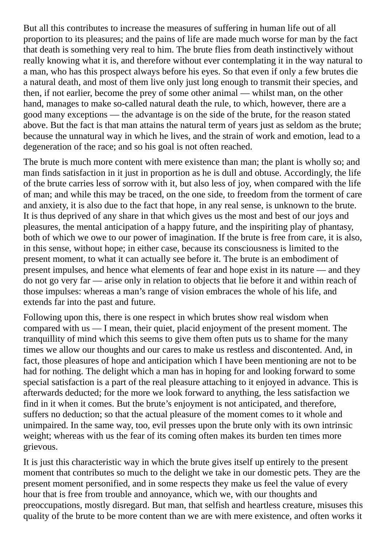But all this contributes to increase the measures of suffering in human life out of all proportion to its pleasures; and the pains of life are made much worse for man by the fact that death is something very real to him. The brute flies from death instinctively without really knowing what it is, and therefore without ever contemplating it in the way natural to a man, who has this prospect always before his eyes. So that even if only a few brutes die a natural death, and most of them live only just long enough to transmit their species, and then, if not earlier, become the prey of some other animal — whilst man, on the other hand, manages to make so-called natural death the rule, to which, however, there are a good many exceptions — the advantage is on the side of the brute, for the reason stated above. But the fact is that man attains the natural term of years just as seldom as the brute; because the unnatural way in which he lives, and the strain of work and emotion, lead to a degeneration of the race; and so his goal is not often reached.

The brute is much more content with mere existence than man; the plant is wholly so; and man finds satisfaction in it just in proportion as he is dull and obtuse. Accordingly, the life of the brute carries less of sorrow with it, but also less of joy, when compared with the life of man; and while this may be traced, on the one side, to freedom from the torment of care and anxiety, it is also due to the fact that hope, in any real sense, is unknown to the brute. It is thus deprived of any share in that which gives us the most and best of our joys and pleasures, the mental anticipation of a happy future, and the inspiriting play of phantasy, both of which we owe to our power of imagination. If the brute is free from care, it is also, in this sense, without hope; in either case, because its consciousness is limited to the present moment, to what it can actually see before it. The brute is an embodiment of present impulses, and hence what elements of fear and hope exist in its nature — and they do not go very far — arise only in relation to objects that lie before it and within reach of those impulses: whereas a man's range of vision embraces the whole of his life, and extends far into the past and future.

Following upon this, there is one respect in which brutes show real wisdom when compared with us — I mean, their quiet, placid enjoyment of the present moment. The tranquillity of mind which this seems to give them often puts us to shame for the many times we allow our thoughts and our cares to make us restless and discontented. And, in fact, those pleasures of hope and anticipation which I have been mentioning are not to be had for nothing. The delight which a man has in hoping for and looking forward to some special satisfaction is a part of the real pleasure attaching to it enjoyed in advance. This is afterwards deducted; for the more we look forward to anything, the less satisfaction we find in it when it comes. But the brute's enjoyment is not anticipated, and therefore, suffers no deduction; so that the actual pleasure of the moment comes to it whole and unimpaired. In the same way, too, evil presses upon the brute only with its own intrinsic weight; whereas with us the fear of its coming often makes its burden ten times more grievous.

It is just this characteristic way in which the brute gives itself up entirely to the present moment that contributes so much to the delight we take in our domestic pets. They are the present moment personified, and in some respects they make us feel the value of every hour that is free from trouble and annoyance, which we, with our thoughts and preoccupations, mostly disregard. But man, that selfish and heartless creature, misuses this quality of the brute to be more content than we are with mere existence, and often works it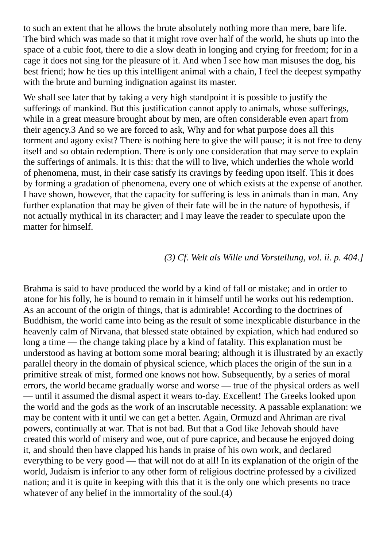to such an extent that he allows the brute absolutely nothing more than mere, bare life. The bird which was made so that it might rove over half of the world, he shuts up into the space of a cubic foot, there to die a slow death in longing and crying for freedom; for in a cage it does not sing for the pleasure of it. And when I see how man misuses the dog, his best friend; how he ties up this intelligent animal with a chain, I feel the deepest sympathy with the brute and burning indignation against its master.

We shall see later that by taking a very high standpoint it is possible to justify the sufferings of mankind. But this justification cannot apply to animals, whose sufferings, while in a great measure brought about by men, are often considerable even apart from their agency.3 And so we are forced to ask, Why and for what purpose does all this torment and agony exist? There is nothing here to give the will pause; it is not free to deny itself and so obtain redemption. There is only one consideration that may serve to explain the sufferings of animals. It is this: that the will to live, which underlies the whole world of phenomena, must, in their case satisfy its cravings by feeding upon itself. This it does by forming a gradation of phenomena, every one of which exists at the expense of another. I have shown, however, that the capacity for suffering is less in animals than in man. Any further explanation that may be given of their fate will be in the nature of hypothesis, if not actually mythical in its character; and I may leave the reader to speculate upon the matter for himself.

#### *(3) Cf. Welt als Wille und Vorstellung, vol. ii. p. 404.]*

Brahma is said to have produced the world by a kind of fall or mistake; and in order to atone for his folly, he is bound to remain in it himself until he works out his redemption. As an account of the origin of things, that is admirable! According to the doctrines of Buddhism, the world came into being as the result of some inexplicable disturbance in the heavenly calm of Nirvana, that blessed state obtained by expiation, which had endured so long a time — the change taking place by a kind of fatality. This explanation must be understood as having at bottom some moral bearing; although it is illustrated by an exactly parallel theory in the domain of physical science, which places the origin of the sun in a primitive streak of mist, formed one knows not how. Subsequently, by a series of moral errors, the world became gradually worse and worse — true of the physical orders as well — until it assumed the dismal aspect it wears to-day. Excellent! The Greeks looked upon the world and the gods as the work of an inscrutable necessity. A passable explanation: we may be content with it until we can get a better. Again, Ormuzd and Ahriman are rival powers, continually at war. That is not bad. But that a God like Jehovah should have created this world of misery and woe, out of pure caprice, and because he enjoyed doing it, and should then have clapped his hands in praise of his own work, and declared everything to be very good — that will not do at all! In its explanation of the origin of the world, Judaism is inferior to any other form of religious doctrine professed by a civilized nation; and it is quite in keeping with this that it is the only one which presents no trace whatever of any belief in the immortality of the soul.(4)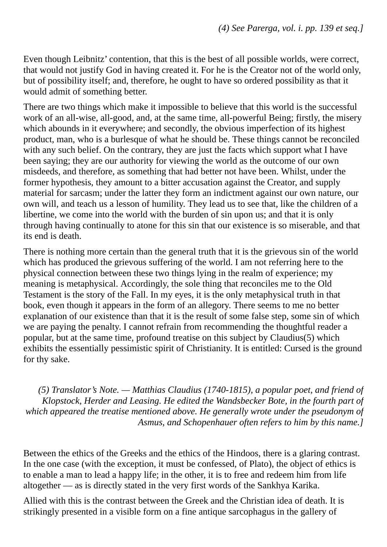Even though Leibnitz' contention, that this is the best of all possible worlds, were correct, that would not justify God in having created it. For he is the Creator not of the world only, but of possibility itself; and, therefore, he ought to have so ordered possibility as that it would admit of something better.

There are two things which make it impossible to believe that this world is the successful work of an all-wise, all-good, and, at the same time, all-powerful Being; firstly, the misery which abounds in it everywhere; and secondly, the obvious imperfection of its highest product, man, who is a burlesque of what he should be. These things cannot be reconciled with any such belief. On the contrary, they are just the facts which support what I have been saying; they are our authority for viewing the world as the outcome of our own misdeeds, and therefore, as something that had better not have been. Whilst, under the former hypothesis, they amount to a bitter accusation against the Creator, and supply material for sarcasm; under the latter they form an indictment against our own nature, our own will, and teach us a lesson of humility. They lead us to see that, like the children of a libertine, we come into the world with the burden of sin upon us; and that it is only through having continually to atone for this sin that our existence is so miserable, and that its end is death.

There is nothing more certain than the general truth that it is the grievous sin of the world which has produced the grievous suffering of the world. I am not referring here to the physical connection between these two things lying in the realm of experience; my meaning is metaphysical. Accordingly, the sole thing that reconciles me to the Old Testament is the story of the Fall. In my eyes, it is the only metaphysical truth in that book, even though it appears in the form of an allegory. There seems to me no better explanation of our existence than that it is the result of some false step, some sin of which we are paying the penalty. I cannot refrain from recommending the thoughtful reader a popular, but at the same time, profound treatise on this subject by Claudius(5) which exhibits the essentially pessimistic spirit of Christianity. It is entitled: Cursed is the ground for thy sake.

*(5) Translator's Note. — Matthias Claudius (1740-1815), a popular poet, and friend of Klopstock, Herder and Leasing. He edited the Wandsbecker Bote, in the fourth part of which appeared the treatise mentioned above. He generally wrote under the pseudonym of Asmus, and Schopenhauer often refers to him by this name.]*

Between the ethics of the Greeks and the ethics of the Hindoos, there is a glaring contrast. In the one case (with the exception, it must be confessed, of Plato), the object of ethics is to enable a man to lead a happy life; in the other, it is to free and redeem him from life altogether — as is directly stated in the very first words of the Sankhya Karika.

Allied with this is the contrast between the Greek and the Christian idea of death. It is strikingly presented in a visible form on a fine antique sarcophagus in the gallery of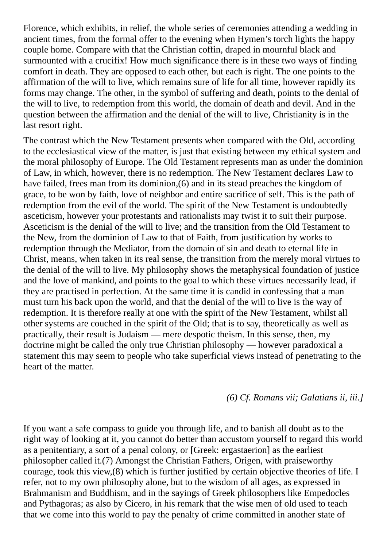Florence, which exhibits, in relief, the whole series of ceremonies attending a wedding in ancient times, from the formal offer to the evening when Hymen's torch lights the happy couple home. Compare with that the Christian coffin, draped in mournful black and surmounted with a crucifix! How much significance there is in these two ways of finding comfort in death. They are opposed to each other, but each is right. The one points to the affirmation of the will to live, which remains sure of life for all time, however rapidly its forms may change. The other, in the symbol of suffering and death, points to the denial of the will to live, to redemption from this world, the domain of death and devil. And in the question between the affirmation and the denial of the will to live, Christianity is in the last resort right.

The contrast which the New Testament presents when compared with the Old, according to the ecclesiastical view of the matter, is just that existing between my ethical system and the moral philosophy of Europe. The Old Testament represents man as under the dominion of Law, in which, however, there is no redemption. The New Testament declares Law to have failed, frees man from its dominion,(6) and in its stead preaches the kingdom of grace, to be won by faith, love of neighbor and entire sacrifice of self. This is the path of redemption from the evil of the world. The spirit of the New Testament is undoubtedly asceticism, however your protestants and rationalists may twist it to suit their purpose. Asceticism is the denial of the will to live; and the transition from the Old Testament to the New, from the dominion of Law to that of Faith, from justification by works to redemption through the Mediator, from the domain of sin and death to eternal life in Christ, means, when taken in its real sense, the transition from the merely moral virtues to the denial of the will to live. My philosophy shows the metaphysical foundation of justice and the love of mankind, and points to the goal to which these virtues necessarily lead, if they are practised in perfection. At the same time it is candid in confessing that a man must turn his back upon the world, and that the denial of the will to live is the way of redemption. It is therefore really at one with the spirit of the New Testament, whilst all other systems are couched in the spirit of the Old; that is to say, theoretically as well as practically, their result is Judaism — mere despotic theism. In this sense, then, my doctrine might be called the only true Christian philosophy — however paradoxical a statement this may seem to people who take superficial views instead of penetrating to the heart of the matter.

*(6) Cf. Romans vii; Galatians ii, iii.]*

If you want a safe compass to guide you through life, and to banish all doubt as to the right way of looking at it, you cannot do better than accustom yourself to regard this world as a penitentiary, a sort of a penal colony, or [Greek: ergastaerion] as the earliest philosopher called it.(7) Amongst the Christian Fathers, Origen, with praiseworthy courage, took this view,(8) which is further justified by certain objective theories of life. I refer, not to my own philosophy alone, but to the wisdom of all ages, as expressed in Brahmanism and Buddhism, and in the sayings of Greek philosophers like Empedocles and Pythagoras; as also by Cicero, in his remark that the wise men of old used to teach that we come into this world to pay the penalty of crime committed in another state of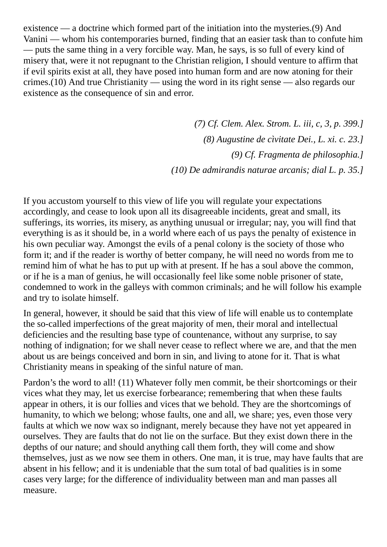existence — a doctrine which formed part of the initiation into the mysteries.(9) And Vanini — whom his contemporaries burned, finding that an easier task than to confute him — puts the same thing in a very forcible way. Man, he says, is so full of every kind of misery that, were it not repugnant to the Christian religion, I should venture to affirm that if evil spirits exist at all, they have posed into human form and are now atoning for their crimes.(10) And true Christianity — using the word in its right sense — also regards our existence as the consequence of sin and error.

> *(7) Cf. Clem. Alex. Strom. L. iii, c, 3, p. 399.] (8) Augustine de cìvitate Dei., L. xi. c. 23.] (9) Cf. Fragmenta de philosophia.] (10) De admirandis naturae arcanis; dial L. p. 35.]*

If you accustom yourself to this view of life you will regulate your expectations accordingly, and cease to look upon all its disagreeable incidents, great and small, its sufferings, its worries, its misery, as anything unusual or irregular; nay, you will find that everything is as it should be, in a world where each of us pays the penalty of existence in his own peculiar way. Amongst the evils of a penal colony is the society of those who form it; and if the reader is worthy of better company, he will need no words from me to remind him of what he has to put up with at present. If he has a soul above the common, or if he is a man of genius, he will occasionally feel like some noble prisoner of state, condemned to work in the galleys with common criminals; and he will follow his example and try to isolate himself.

In general, however, it should be said that this view of life will enable us to contemplate the so-called imperfections of the great majority of men, their moral and intellectual deficiencies and the resulting base type of countenance, without any surprise, to say nothing of indignation; for we shall never cease to reflect where we are, and that the men about us are beings conceived and born in sin, and living to atone for it. That is what Christianity means in speaking of the sinful nature of man.

Pardon's the word to all! (11) Whatever folly men commit, be their shortcomings or their vices what they may, let us exercise forbearance; remembering that when these faults appear in others, it is our follies and vices that we behold. They are the shortcomings of humanity, to which we belong; whose faults, one and all, we share; yes, even those very faults at which we now wax so indignant, merely because they have not yet appeared in ourselves. They are faults that do not lie on the surface. But they exist down there in the depths of our nature; and should anything call them forth, they will come and show themselves, just as we now see them in others. One man, it is true, may have faults that are absent in his fellow; and it is undeniable that the sum total of bad qualities is in some cases very large; for the difference of individuality between man and man passes all measure.